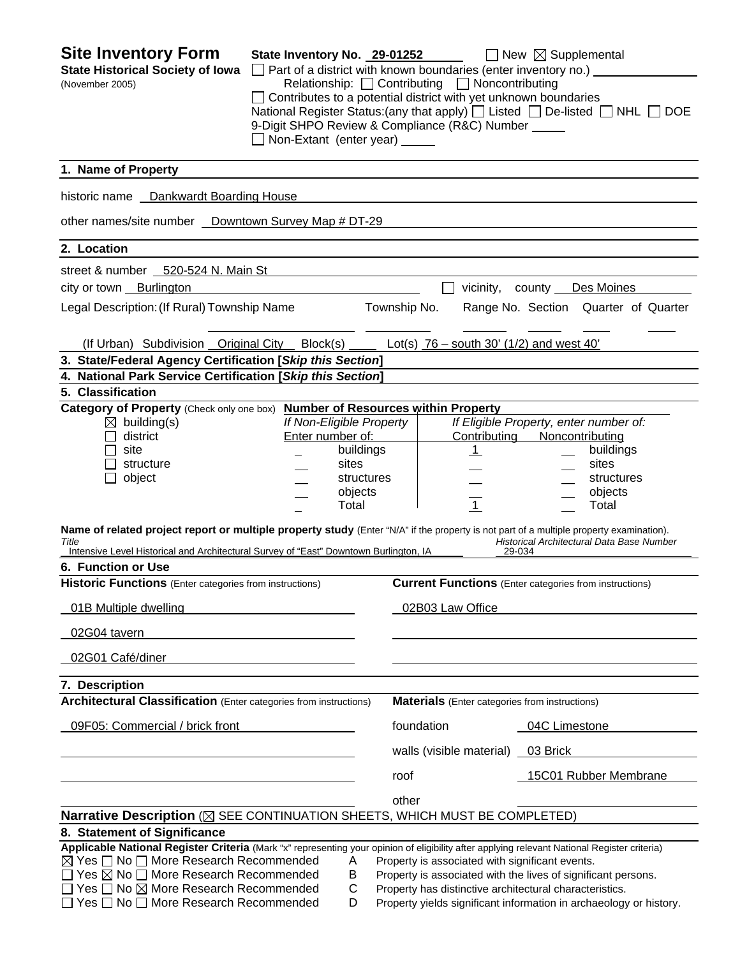| <b>Site Inventory Form</b><br><b>State Historical Society of Iowa</b><br>(November 2005)                                                                                                                                                                        | State Inventory No. 29-01252<br>□ Part of a district with known boundaries (enter inventory no.) ____<br>$\Box$ Contributes to a potential district with yet unknown boundaries<br>9-Digit SHPO Review & Compliance (R&C) Number _____<br>Non-Extant (enter year) _____ |              | Relationship: $\Box$ Contributing $\Box$ Noncontributing | $\Box$ New $\boxtimes$ Supplemental<br>National Register Status: (any that apply) $\Box$ Listed $\Box$ De-listed $\Box$ NHL $\Box$ DOE |  |
|-----------------------------------------------------------------------------------------------------------------------------------------------------------------------------------------------------------------------------------------------------------------|-------------------------------------------------------------------------------------------------------------------------------------------------------------------------------------------------------------------------------------------------------------------------|--------------|----------------------------------------------------------|----------------------------------------------------------------------------------------------------------------------------------------|--|
| 1. Name of Property                                                                                                                                                                                                                                             |                                                                                                                                                                                                                                                                         |              |                                                          |                                                                                                                                        |  |
| historic name __ Dankwardt Boarding House                                                                                                                                                                                                                       |                                                                                                                                                                                                                                                                         |              |                                                          |                                                                                                                                        |  |
| other names/site number _ Downtown Survey Map # DT-29                                                                                                                                                                                                           |                                                                                                                                                                                                                                                                         |              |                                                          |                                                                                                                                        |  |
| 2. Location                                                                                                                                                                                                                                                     |                                                                                                                                                                                                                                                                         |              |                                                          |                                                                                                                                        |  |
| street & number 520-524 N. Main St                                                                                                                                                                                                                              |                                                                                                                                                                                                                                                                         |              |                                                          |                                                                                                                                        |  |
| city or town Burlington                                                                                                                                                                                                                                         |                                                                                                                                                                                                                                                                         |              |                                                          | vicinity, county Des Moines                                                                                                            |  |
| Legal Description: (If Rural) Township Name                                                                                                                                                                                                                     |                                                                                                                                                                                                                                                                         | Township No. |                                                          | Range No. Section Quarter of Quarter                                                                                                   |  |
| (If Urban) Subdivision Original City Block(s) $\qquad$ Lot(s) $76 -$ south 30' (1/2) and west 40'                                                                                                                                                               |                                                                                                                                                                                                                                                                         |              |                                                          |                                                                                                                                        |  |
| 3. State/Federal Agency Certification [Skip this Section]                                                                                                                                                                                                       |                                                                                                                                                                                                                                                                         |              |                                                          |                                                                                                                                        |  |
| 4. National Park Service Certification [Skip this Section]                                                                                                                                                                                                      |                                                                                                                                                                                                                                                                         |              |                                                          |                                                                                                                                        |  |
| 5. Classification                                                                                                                                                                                                                                               |                                                                                                                                                                                                                                                                         |              |                                                          |                                                                                                                                        |  |
| Category of Property (Check only one box) Number of Resources within Property                                                                                                                                                                                   |                                                                                                                                                                                                                                                                         |              |                                                          |                                                                                                                                        |  |
| $\boxtimes$ building(s)                                                                                                                                                                                                                                         | If Non-Eligible Property                                                                                                                                                                                                                                                |              |                                                          | If Eligible Property, enter number of:                                                                                                 |  |
| district                                                                                                                                                                                                                                                        | Enter number of:                                                                                                                                                                                                                                                        |              | Contributing                                             | Noncontributing                                                                                                                        |  |
| site                                                                                                                                                                                                                                                            |                                                                                                                                                                                                                                                                         | buildings    | $\perp$                                                  | buildings                                                                                                                              |  |
| structure                                                                                                                                                                                                                                                       | sites                                                                                                                                                                                                                                                                   |              |                                                          | sites                                                                                                                                  |  |
| object                                                                                                                                                                                                                                                          |                                                                                                                                                                                                                                                                         | structures   |                                                          | structures                                                                                                                             |  |
|                                                                                                                                                                                                                                                                 | objects<br>Total                                                                                                                                                                                                                                                        |              | $\overline{1}$                                           | objects<br>Total                                                                                                                       |  |
| Name of related project report or multiple property study (Enter "N/A" if the property is not part of a multiple property examination).<br>Title<br>Intensive Level Historical and Architectural Survey of "East" Downtown Burlington, IA<br>6. Function or Use |                                                                                                                                                                                                                                                                         |              |                                                          | Historical Architectural Data Base Number<br>29-034                                                                                    |  |
| <b>Historic Functions</b> (Enter categories from instructions)                                                                                                                                                                                                  |                                                                                                                                                                                                                                                                         |              |                                                          | <b>Current Functions</b> (Enter categories from instructions)                                                                          |  |
| 01B Multiple dwelling                                                                                                                                                                                                                                           |                                                                                                                                                                                                                                                                         |              | 02B03 Law Office                                         |                                                                                                                                        |  |
| 02G04 tavern                                                                                                                                                                                                                                                    |                                                                                                                                                                                                                                                                         |              |                                                          |                                                                                                                                        |  |
| 02G01 Café/diner                                                                                                                                                                                                                                                |                                                                                                                                                                                                                                                                         |              |                                                          |                                                                                                                                        |  |
| 7. Description                                                                                                                                                                                                                                                  |                                                                                                                                                                                                                                                                         |              |                                                          |                                                                                                                                        |  |
| <b>Architectural Classification</b> (Enter categories from instructions)                                                                                                                                                                                        |                                                                                                                                                                                                                                                                         |              | <b>Materials</b> (Enter categories from instructions)    |                                                                                                                                        |  |
| 09F05: Commercial / brick front                                                                                                                                                                                                                                 |                                                                                                                                                                                                                                                                         | foundation   |                                                          | 04C Limestone                                                                                                                          |  |
|                                                                                                                                                                                                                                                                 |                                                                                                                                                                                                                                                                         |              | walls (visible material)                                 | 03 Brick                                                                                                                               |  |
|                                                                                                                                                                                                                                                                 |                                                                                                                                                                                                                                                                         | roof         |                                                          | 15C01 Rubber Membrane                                                                                                                  |  |
|                                                                                                                                                                                                                                                                 |                                                                                                                                                                                                                                                                         | other        |                                                          |                                                                                                                                        |  |
| Narrative Description (X SEE CONTINUATION SHEETS, WHICH MUST BE COMPLETED)                                                                                                                                                                                      |                                                                                                                                                                                                                                                                         |              |                                                          |                                                                                                                                        |  |
| 8. Statement of Significance                                                                                                                                                                                                                                    |                                                                                                                                                                                                                                                                         |              |                                                          |                                                                                                                                        |  |
| Applicable National Register Criteria (Mark "x" representing your opinion of eligibility after applying relevant National Register criteria)                                                                                                                    |                                                                                                                                                                                                                                                                         |              |                                                          |                                                                                                                                        |  |
| $\boxtimes$ Yes $\Box$ No $\Box$ More Research Recommended                                                                                                                                                                                                      | A                                                                                                                                                                                                                                                                       |              | Property is associated with significant events.          |                                                                                                                                        |  |
| $\Box$ Yes $\boxtimes$ No $\Box$ More Research Recommended<br>$\Box$ Yes $\Box$ No $\boxtimes$ More Research Recommended                                                                                                                                        | B<br>С                                                                                                                                                                                                                                                                  |              |                                                          | Property is associated with the lives of significant persons.<br>Property has distinctive architectural characteristics.               |  |
| Yes □ No □ More Research Recommended                                                                                                                                                                                                                            | D                                                                                                                                                                                                                                                                       |              |                                                          | Property yields significant information in archaeology or history.                                                                     |  |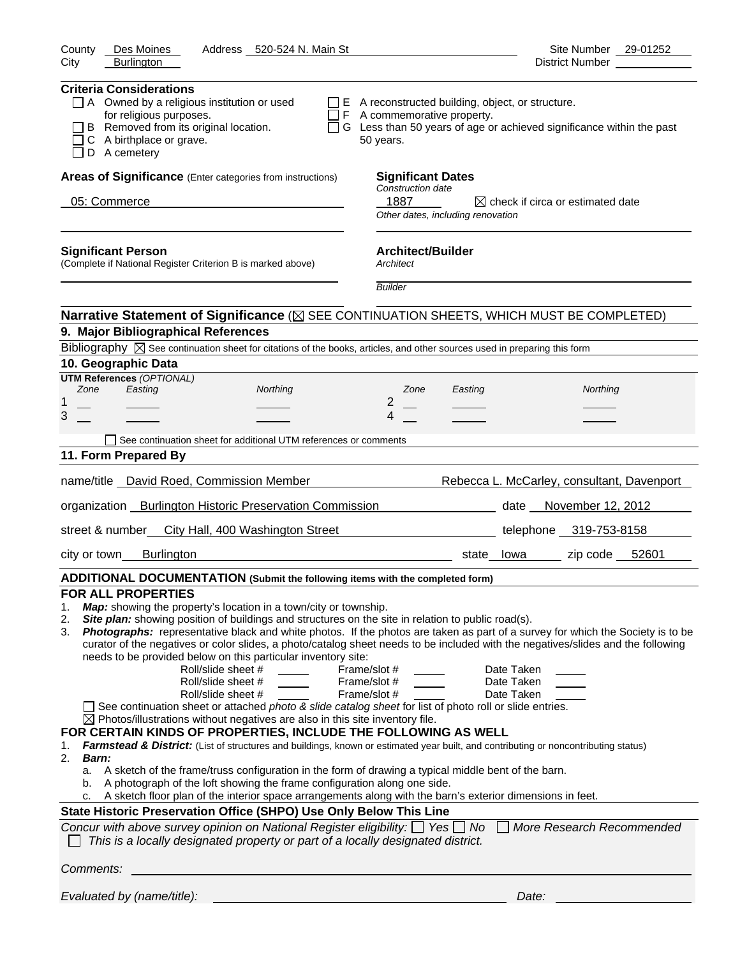| <b>Burlington</b><br>City                                                                                                                                                                                                                                                                                                                                                                                                                                                                                                                                                                                                                                                                                                                                                                                                                                                                                                                                                                                                                                                                                                    |                                                                                                                                                                                                                                                                                                                                                                                                                                                                                                                                  |
|------------------------------------------------------------------------------------------------------------------------------------------------------------------------------------------------------------------------------------------------------------------------------------------------------------------------------------------------------------------------------------------------------------------------------------------------------------------------------------------------------------------------------------------------------------------------------------------------------------------------------------------------------------------------------------------------------------------------------------------------------------------------------------------------------------------------------------------------------------------------------------------------------------------------------------------------------------------------------------------------------------------------------------------------------------------------------------------------------------------------------|----------------------------------------------------------------------------------------------------------------------------------------------------------------------------------------------------------------------------------------------------------------------------------------------------------------------------------------------------------------------------------------------------------------------------------------------------------------------------------------------------------------------------------|
|                                                                                                                                                                                                                                                                                                                                                                                                                                                                                                                                                                                                                                                                                                                                                                                                                                                                                                                                                                                                                                                                                                                              |                                                                                                                                                                                                                                                                                                                                                                                                                                                                                                                                  |
| <b>Criteria Considerations</b><br>$\Box$ A Owned by a religious institution or used<br>for religious purposes.<br>B Removed from its original location.<br>C A birthplace or grave.<br>D A cemetery                                                                                                                                                                                                                                                                                                                                                                                                                                                                                                                                                                                                                                                                                                                                                                                                                                                                                                                          | $\Box$ E A reconstructed building, object, or structure.<br>$\Box$ F A commemorative property.<br>□ G Less than 50 years of age or achieved significance within the past<br>50 years.                                                                                                                                                                                                                                                                                                                                            |
| Areas of Significance (Enter categories from instructions)                                                                                                                                                                                                                                                                                                                                                                                                                                                                                                                                                                                                                                                                                                                                                                                                                                                                                                                                                                                                                                                                   | <b>Significant Dates</b>                                                                                                                                                                                                                                                                                                                                                                                                                                                                                                         |
|                                                                                                                                                                                                                                                                                                                                                                                                                                                                                                                                                                                                                                                                                                                                                                                                                                                                                                                                                                                                                                                                                                                              | Construction date                                                                                                                                                                                                                                                                                                                                                                                                                                                                                                                |
| 05: Commerce                                                                                                                                                                                                                                                                                                                                                                                                                                                                                                                                                                                                                                                                                                                                                                                                                                                                                                                                                                                                                                                                                                                 | 1887<br>$\boxtimes$ check if circa or estimated date<br>Other dates, including renovation                                                                                                                                                                                                                                                                                                                                                                                                                                        |
| <b>Significant Person</b><br>(Complete if National Register Criterion B is marked above)                                                                                                                                                                                                                                                                                                                                                                                                                                                                                                                                                                                                                                                                                                                                                                                                                                                                                                                                                                                                                                     | <b>Architect/Builder</b><br>Architect                                                                                                                                                                                                                                                                                                                                                                                                                                                                                            |
|                                                                                                                                                                                                                                                                                                                                                                                                                                                                                                                                                                                                                                                                                                                                                                                                                                                                                                                                                                                                                                                                                                                              | <b>Builder</b>                                                                                                                                                                                                                                                                                                                                                                                                                                                                                                                   |
|                                                                                                                                                                                                                                                                                                                                                                                                                                                                                                                                                                                                                                                                                                                                                                                                                                                                                                                                                                                                                                                                                                                              | Narrative Statement of Significance ( $\boxtimes$ SEE CONTINUATION SHEETS, WHICH MUST BE COMPLETED)                                                                                                                                                                                                                                                                                                                                                                                                                              |
| 9. Major Bibliographical References                                                                                                                                                                                                                                                                                                                                                                                                                                                                                                                                                                                                                                                                                                                                                                                                                                                                                                                                                                                                                                                                                          |                                                                                                                                                                                                                                                                                                                                                                                                                                                                                                                                  |
| Bibliography $\boxtimes$ See continuation sheet for citations of the books, articles, and other sources used in preparing this form                                                                                                                                                                                                                                                                                                                                                                                                                                                                                                                                                                                                                                                                                                                                                                                                                                                                                                                                                                                          |                                                                                                                                                                                                                                                                                                                                                                                                                                                                                                                                  |
| 10. Geographic Data                                                                                                                                                                                                                                                                                                                                                                                                                                                                                                                                                                                                                                                                                                                                                                                                                                                                                                                                                                                                                                                                                                          |                                                                                                                                                                                                                                                                                                                                                                                                                                                                                                                                  |
| <b>UTM References (OPTIONAL)</b><br>Zone<br>Easting<br>Northing                                                                                                                                                                                                                                                                                                                                                                                                                                                                                                                                                                                                                                                                                                                                                                                                                                                                                                                                                                                                                                                              | Zone<br>Easting<br>Northing                                                                                                                                                                                                                                                                                                                                                                                                                                                                                                      |
| 1                                                                                                                                                                                                                                                                                                                                                                                                                                                                                                                                                                                                                                                                                                                                                                                                                                                                                                                                                                                                                                                                                                                            | 2                                                                                                                                                                                                                                                                                                                                                                                                                                                                                                                                |
| 3                                                                                                                                                                                                                                                                                                                                                                                                                                                                                                                                                                                                                                                                                                                                                                                                                                                                                                                                                                                                                                                                                                                            | 4                                                                                                                                                                                                                                                                                                                                                                                                                                                                                                                                |
| See continuation sheet for additional UTM references or comments                                                                                                                                                                                                                                                                                                                                                                                                                                                                                                                                                                                                                                                                                                                                                                                                                                                                                                                                                                                                                                                             |                                                                                                                                                                                                                                                                                                                                                                                                                                                                                                                                  |
| 11. Form Prepared By                                                                                                                                                                                                                                                                                                                                                                                                                                                                                                                                                                                                                                                                                                                                                                                                                                                                                                                                                                                                                                                                                                         |                                                                                                                                                                                                                                                                                                                                                                                                                                                                                                                                  |
| name/title  David Roed, Commission Member                                                                                                                                                                                                                                                                                                                                                                                                                                                                                                                                                                                                                                                                                                                                                                                                                                                                                                                                                                                                                                                                                    | Rebecca L. McCarley, consultant, Davenport                                                                                                                                                                                                                                                                                                                                                                                                                                                                                       |
|                                                                                                                                                                                                                                                                                                                                                                                                                                                                                                                                                                                                                                                                                                                                                                                                                                                                                                                                                                                                                                                                                                                              |                                                                                                                                                                                                                                                                                                                                                                                                                                                                                                                                  |
| organization __ Burlington Historic Preservation Commission ____________________                                                                                                                                                                                                                                                                                                                                                                                                                                                                                                                                                                                                                                                                                                                                                                                                                                                                                                                                                                                                                                             | date November 12, 2012                                                                                                                                                                                                                                                                                                                                                                                                                                                                                                           |
| street & number<br>City Hall, 400 Washington Street                                                                                                                                                                                                                                                                                                                                                                                                                                                                                                                                                                                                                                                                                                                                                                                                                                                                                                                                                                                                                                                                          | telephone 319-753-8158                                                                                                                                                                                                                                                                                                                                                                                                                                                                                                           |
| <b>Burlington</b><br>city or town                                                                                                                                                                                                                                                                                                                                                                                                                                                                                                                                                                                                                                                                                                                                                                                                                                                                                                                                                                                                                                                                                            | zip code 52601<br>state lowa                                                                                                                                                                                                                                                                                                                                                                                                                                                                                                     |
| ADDITIONAL DOCUMENTATION (Submit the following items with the completed form)                                                                                                                                                                                                                                                                                                                                                                                                                                                                                                                                                                                                                                                                                                                                                                                                                                                                                                                                                                                                                                                |                                                                                                                                                                                                                                                                                                                                                                                                                                                                                                                                  |
| <b>FOR ALL PROPERTIES</b><br>Map: showing the property's location in a town/city or township.<br>1.                                                                                                                                                                                                                                                                                                                                                                                                                                                                                                                                                                                                                                                                                                                                                                                                                                                                                                                                                                                                                          |                                                                                                                                                                                                                                                                                                                                                                                                                                                                                                                                  |
| Site plan: showing position of buildings and structures on the site in relation to public road(s).<br>2.<br>3.<br>needs to be provided below on this particular inventory site:<br>Roll/slide sheet #<br>Roll/slide sheet #<br>Roll/slide sheet #<br>See continuation sheet or attached photo & slide catalog sheet for list of photo roll or slide entries.<br>$\boxtimes$ Photos/illustrations without negatives are also in this site inventory file.<br>FOR CERTAIN KINDS OF PROPERTIES, INCLUDE THE FOLLOWING AS WELL<br>1.<br>2.<br><b>Barn:</b><br>A sketch of the frame/truss configuration in the form of drawing a typical middle bent of the barn.<br>a.<br>A photograph of the loft showing the frame configuration along one side.<br>b.<br>A sketch floor plan of the interior space arrangements along with the barn's exterior dimensions in feet.<br>c.<br>State Historic Preservation Office (SHPO) Use Only Below This Line<br>Concur with above survey opinion on National Register eligibility: $\Box$ Yes $\Box$ No<br>This is a locally designated property or part of a locally designated district. | Photographs: representative black and white photos. If the photos are taken as part of a survey for which the Society is to be<br>curator of the negatives or color slides, a photo/catalog sheet needs to be included with the negatives/slides and the following<br>Frame/slot #<br>Date Taken<br>Frame/slot #<br>Date Taken<br>Frame/slot #<br>Date Taken<br>Farmstead & District: (List of structures and buildings, known or estimated year built, and contributing or noncontributing status)<br>More Research Recommended |
| Comments:                                                                                                                                                                                                                                                                                                                                                                                                                                                                                                                                                                                                                                                                                                                                                                                                                                                                                                                                                                                                                                                                                                                    |                                                                                                                                                                                                                                                                                                                                                                                                                                                                                                                                  |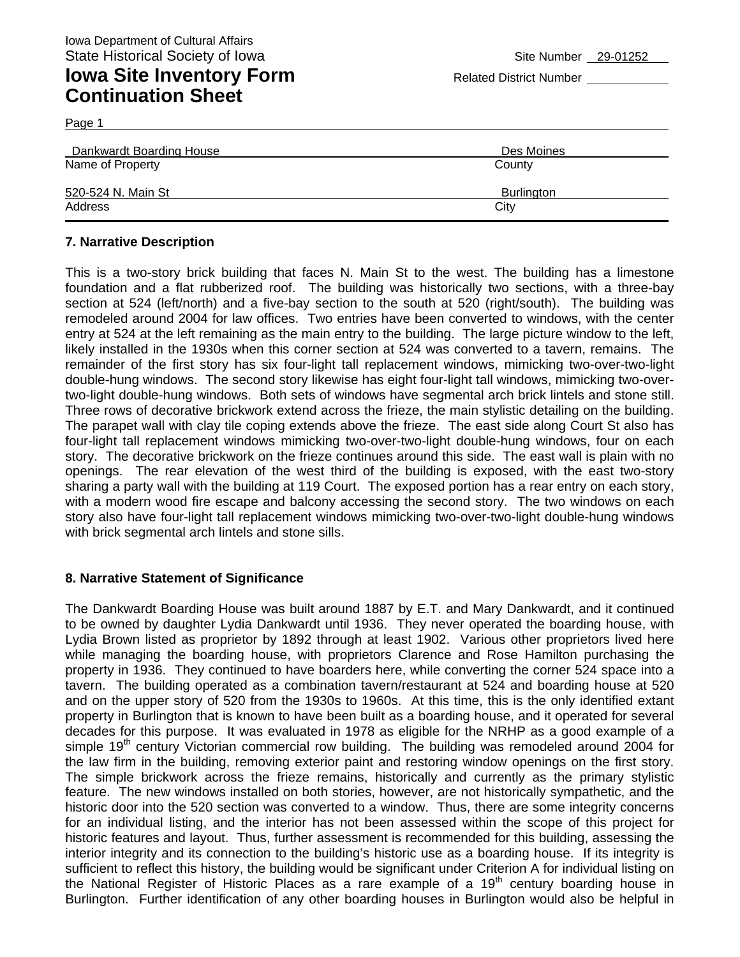Dankwardt Boarding House Des Moines Name of Property **County** County County County County 520-524 N. Main St Burlington and St Burlington Burlington Burlington Burlington Address City **City** Address

### **7. Narrative Description**

This is a two-story brick building that faces N. Main St to the west. The building has a limestone foundation and a flat rubberized roof. The building was historically two sections, with a three-bay section at 524 (left/north) and a five-bay section to the south at 520 (right/south). The building was remodeled around 2004 for law offices. Two entries have been converted to windows, with the center entry at 524 at the left remaining as the main entry to the building. The large picture window to the left, likely installed in the 1930s when this corner section at 524 was converted to a tavern, remains. The remainder of the first story has six four-light tall replacement windows, mimicking two-over-two-light double-hung windows. The second story likewise has eight four-light tall windows, mimicking two-overtwo-light double-hung windows. Both sets of windows have segmental arch brick lintels and stone still. Three rows of decorative brickwork extend across the frieze, the main stylistic detailing on the building. The parapet wall with clay tile coping extends above the frieze. The east side along Court St also has four-light tall replacement windows mimicking two-over-two-light double-hung windows, four on each story. The decorative brickwork on the frieze continues around this side. The east wall is plain with no openings. The rear elevation of the west third of the building is exposed, with the east two-story sharing a party wall with the building at 119 Court. The exposed portion has a rear entry on each story, with a modern wood fire escape and balcony accessing the second story. The two windows on each story also have four-light tall replacement windows mimicking two-over-two-light double-hung windows with brick segmental arch lintels and stone sills.

#### **8. Narrative Statement of Significance**

The Dankwardt Boarding House was built around 1887 by E.T. and Mary Dankwardt, and it continued to be owned by daughter Lydia Dankwardt until 1936. They never operated the boarding house, with Lydia Brown listed as proprietor by 1892 through at least 1902. Various other proprietors lived here while managing the boarding house, with proprietors Clarence and Rose Hamilton purchasing the property in 1936. They continued to have boarders here, while converting the corner 524 space into a tavern. The building operated as a combination tavern/restaurant at 524 and boarding house at 520 and on the upper story of 520 from the 1930s to 1960s. At this time, this is the only identified extant property in Burlington that is known to have been built as a boarding house, and it operated for several decades for this purpose. It was evaluated in 1978 as eligible for the NRHP as a good example of a simple 19<sup>th</sup> century Victorian commercial row building. The building was remodeled around 2004 for the law firm in the building, removing exterior paint and restoring window openings on the first story. The simple brickwork across the frieze remains, historically and currently as the primary stylistic feature. The new windows installed on both stories, however, are not historically sympathetic, and the historic door into the 520 section was converted to a window. Thus, there are some integrity concerns for an individual listing, and the interior has not been assessed within the scope of this project for historic features and layout. Thus, further assessment is recommended for this building, assessing the interior integrity and its connection to the building's historic use as a boarding house. If its integrity is sufficient to reflect this history, the building would be significant under Criterion A for individual listing on the National Register of Historic Places as a rare example of a  $19<sup>th</sup>$  century boarding house in Burlington. Further identification of any other boarding houses in Burlington would also be helpful in

Page 1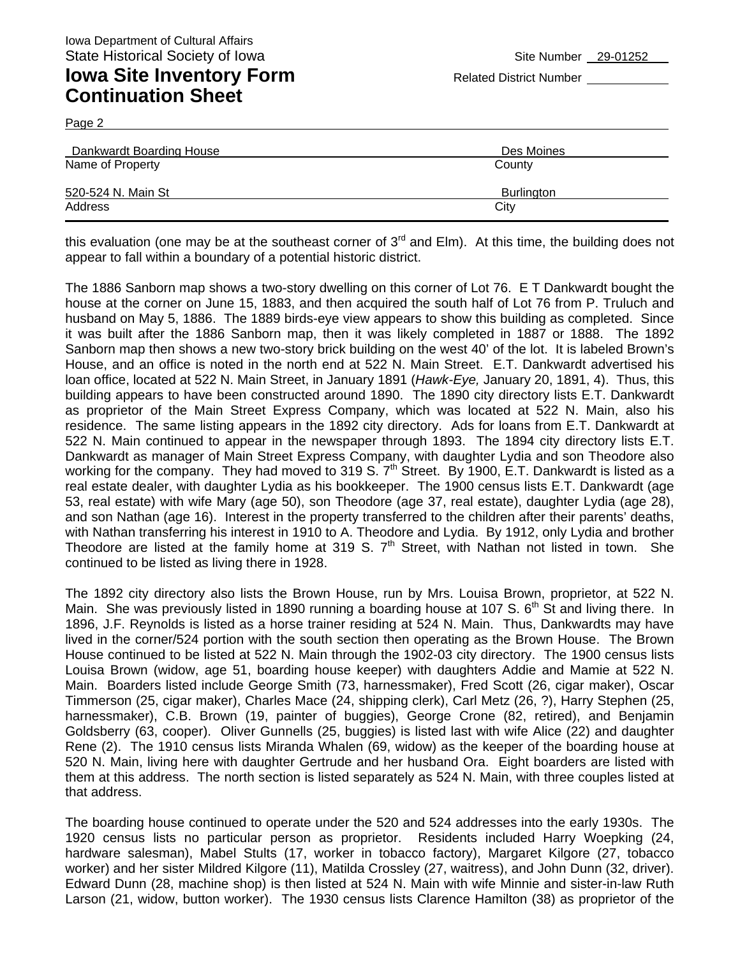**Continuation Sheet** 

Page 2

| Dankwardt Boarding House | Des Moines |
|--------------------------|------------|
| Name of Property         | County     |
|                          |            |
| 520-524 N. Main St       | Burlington |
| Address                  | City       |
|                          |            |

this evaluation (one may be at the southeast corner of  $3<sup>rd</sup>$  and Elm). At this time, the building does not appear to fall within a boundary of a potential historic district.

The 1886 Sanborn map shows a two-story dwelling on this corner of Lot 76. E T Dankwardt bought the house at the corner on June 15, 1883, and then acquired the south half of Lot 76 from P. Truluch and husband on May 5, 1886. The 1889 birds-eye view appears to show this building as completed. Since it was built after the 1886 Sanborn map, then it was likely completed in 1887 or 1888. The 1892 Sanborn map then shows a new two-story brick building on the west 40' of the lot. It is labeled Brown's House, and an office is noted in the north end at 522 N. Main Street. E.T. Dankwardt advertised his loan office, located at 522 N. Main Street, in January 1891 (*Hawk-Eye,* January 20, 1891, 4). Thus, this building appears to have been constructed around 1890. The 1890 city directory lists E.T. Dankwardt as proprietor of the Main Street Express Company, which was located at 522 N. Main, also his residence. The same listing appears in the 1892 city directory. Ads for loans from E.T. Dankwardt at 522 N. Main continued to appear in the newspaper through 1893. The 1894 city directory lists E.T. Dankwardt as manager of Main Street Express Company, with daughter Lydia and son Theodore also working for the company. They had moved to 319 S. 7<sup>th</sup> Street. By 1900, E.T. Dankwardt is listed as a real estate dealer, with daughter Lydia as his bookkeeper. The 1900 census lists E.T. Dankwardt (age 53, real estate) with wife Mary (age 50), son Theodore (age 37, real estate), daughter Lydia (age 28), and son Nathan (age 16). Interest in the property transferred to the children after their parents' deaths, with Nathan transferring his interest in 1910 to A. Theodore and Lydia. By 1912, only Lydia and brother Theodore are listed at the family home at 319 S.  $7<sup>th</sup>$  Street, with Nathan not listed in town. She continued to be listed as living there in 1928.

The 1892 city directory also lists the Brown House, run by Mrs. Louisa Brown, proprietor, at 522 N. Main. She was previously listed in 1890 running a boarding house at 107 S. 6<sup>th</sup> St and living there. In 1896, J.F. Reynolds is listed as a horse trainer residing at 524 N. Main. Thus, Dankwardts may have lived in the corner/524 portion with the south section then operating as the Brown House. The Brown House continued to be listed at 522 N. Main through the 1902-03 city directory. The 1900 census lists Louisa Brown (widow, age 51, boarding house keeper) with daughters Addie and Mamie at 522 N. Main. Boarders listed include George Smith (73, harnessmaker), Fred Scott (26, cigar maker), Oscar Timmerson (25, cigar maker), Charles Mace (24, shipping clerk), Carl Metz (26, ?), Harry Stephen (25, harnessmaker), C.B. Brown (19, painter of buggies), George Crone (82, retired), and Benjamin Goldsberry (63, cooper). Oliver Gunnells (25, buggies) is listed last with wife Alice (22) and daughter Rene (2). The 1910 census lists Miranda Whalen (69, widow) as the keeper of the boarding house at 520 N. Main, living here with daughter Gertrude and her husband Ora. Eight boarders are listed with them at this address. The north section is listed separately as 524 N. Main, with three couples listed at that address.

The boarding house continued to operate under the 520 and 524 addresses into the early 1930s. The 1920 census lists no particular person as proprietor. Residents included Harry Woepking (24, hardware salesman), Mabel Stults (17, worker in tobacco factory), Margaret Kilgore (27, tobacco worker) and her sister Mildred Kilgore (11), Matilda Crossley (27, waitress), and John Dunn (32, driver). Edward Dunn (28, machine shop) is then listed at 524 N. Main with wife Minnie and sister-in-law Ruth Larson (21, widow, button worker). The 1930 census lists Clarence Hamilton (38) as proprietor of the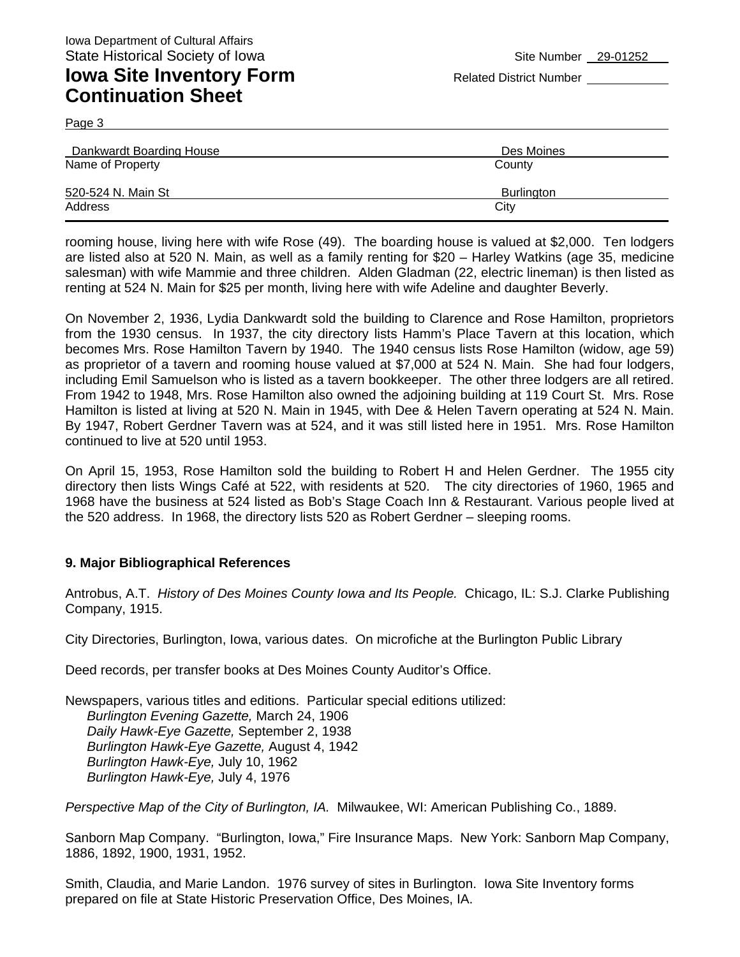**Continuation Sheet** 

Page 3

| Dankwardt Boarding House | Des Moines |
|--------------------------|------------|
| Name of Property         | County     |
| 520-524 N. Main St       | Burlington |
| Address                  | City       |

rooming house, living here with wife Rose (49). The boarding house is valued at \$2,000. Ten lodgers are listed also at 520 N. Main, as well as a family renting for \$20 – Harley Watkins (age 35, medicine salesman) with wife Mammie and three children. Alden Gladman (22, electric lineman) is then listed as renting at 524 N. Main for \$25 per month, living here with wife Adeline and daughter Beverly.

On November 2, 1936, Lydia Dankwardt sold the building to Clarence and Rose Hamilton, proprietors from the 1930 census. In 1937, the city directory lists Hamm's Place Tavern at this location, which becomes Mrs. Rose Hamilton Tavern by 1940. The 1940 census lists Rose Hamilton (widow, age 59) as proprietor of a tavern and rooming house valued at \$7,000 at 524 N. Main. She had four lodgers, including Emil Samuelson who is listed as a tavern bookkeeper. The other three lodgers are all retired. From 1942 to 1948, Mrs. Rose Hamilton also owned the adjoining building at 119 Court St. Mrs. Rose Hamilton is listed at living at 520 N. Main in 1945, with Dee & Helen Tavern operating at 524 N. Main. By 1947, Robert Gerdner Tavern was at 524, and it was still listed here in 1951. Mrs. Rose Hamilton continued to live at 520 until 1953.

On April 15, 1953, Rose Hamilton sold the building to Robert H and Helen Gerdner. The 1955 city directory then lists Wings Café at 522, with residents at 520. The city directories of 1960, 1965 and 1968 have the business at 524 listed as Bob's Stage Coach Inn & Restaurant. Various people lived at the 520 address. In 1968, the directory lists 520 as Robert Gerdner – sleeping rooms.

#### **9. Major Bibliographical References**

Antrobus, A.T. *History of Des Moines County Iowa and Its People.* Chicago, IL: S.J. Clarke Publishing Company, 1915.

City Directories, Burlington, Iowa, various dates. On microfiche at the Burlington Public Library

Deed records, per transfer books at Des Moines County Auditor's Office.

Newspapers, various titles and editions. Particular special editions utilized: *Burlington Evening Gazette,* March 24, 1906 *Daily Hawk-Eye Gazette,* September 2, 1938 *Burlington Hawk-Eye Gazette,* August 4, 1942 *Burlington Hawk-Eye,* July 10, 1962 *Burlington Hawk-Eye,* July 4, 1976

*Perspective Map of the City of Burlington, IA.* Milwaukee, WI: American Publishing Co., 1889.

Sanborn Map Company. "Burlington, Iowa," Fire Insurance Maps. New York: Sanborn Map Company, 1886, 1892, 1900, 1931, 1952.

Smith, Claudia, and Marie Landon. 1976 survey of sites in Burlington. Iowa Site Inventory forms prepared on file at State Historic Preservation Office, Des Moines, IA.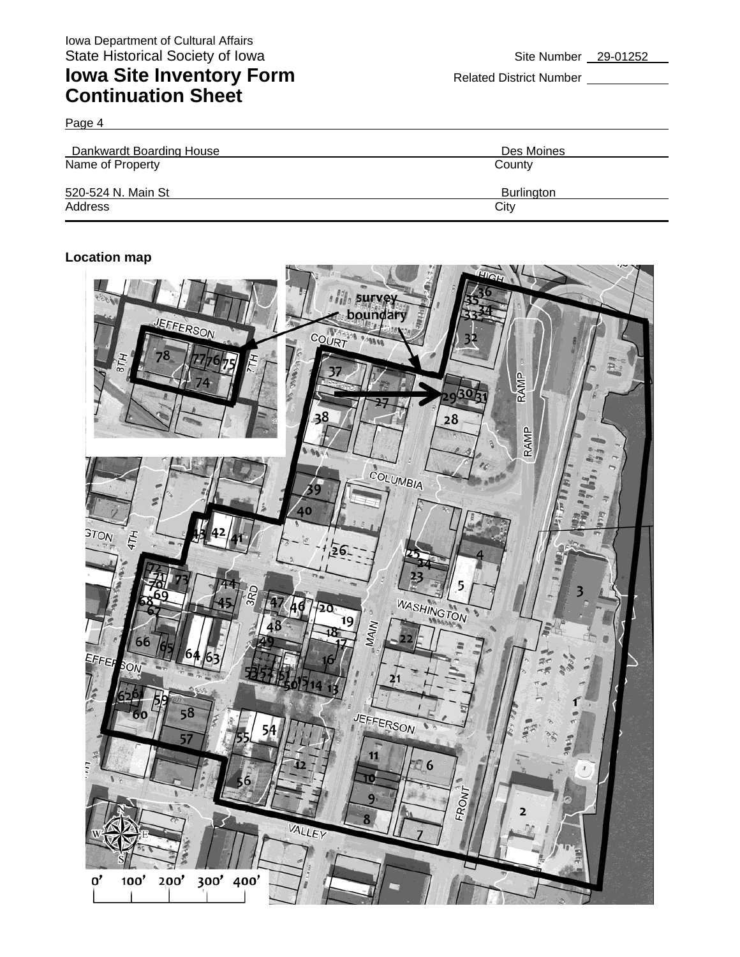# **Iowa Site Inventory Form** Related District Number **Related District Number Continuation Sheet**

Page 4

| Dankwardt Boarding House | Des Moines        |
|--------------------------|-------------------|
| Name of Property         | County            |
| 520-524 N. Main St       | <b>Burlington</b> |
| Address                  | City              |

#### **Location map**

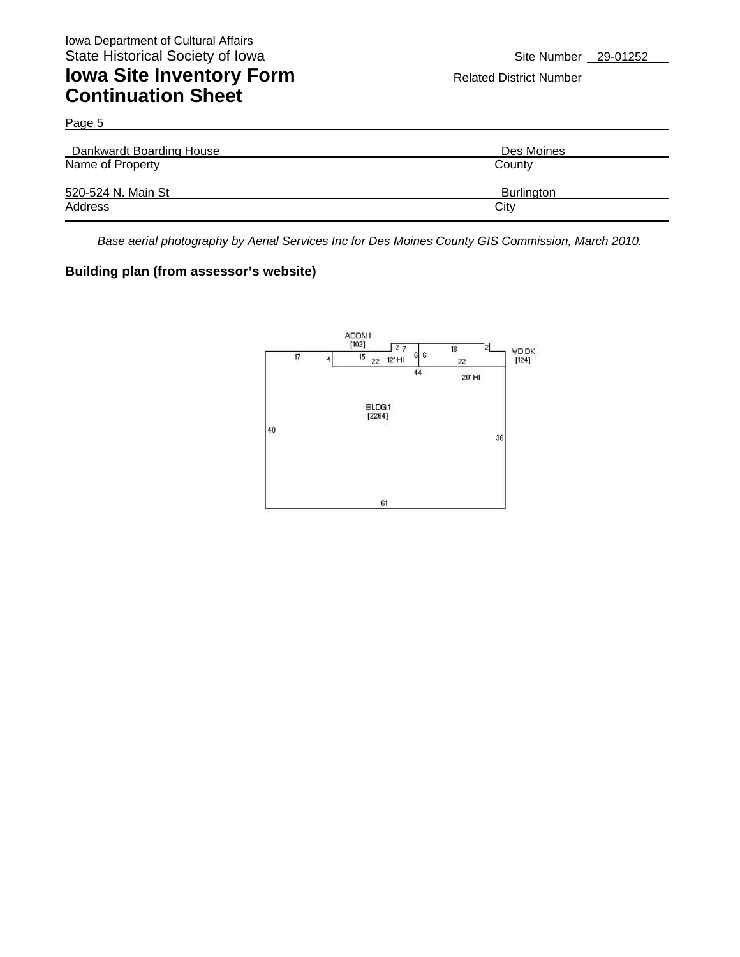Page 5 Dankwardt Boarding House Des Moines Name of Property **County** County 520-524 N. Main St Burlington Address City **City Address** 

*Base aerial photography by Aerial Services Inc for Des Moines County GIS Commission, March 2010.* 

#### **Building plan (from assessor's website)**

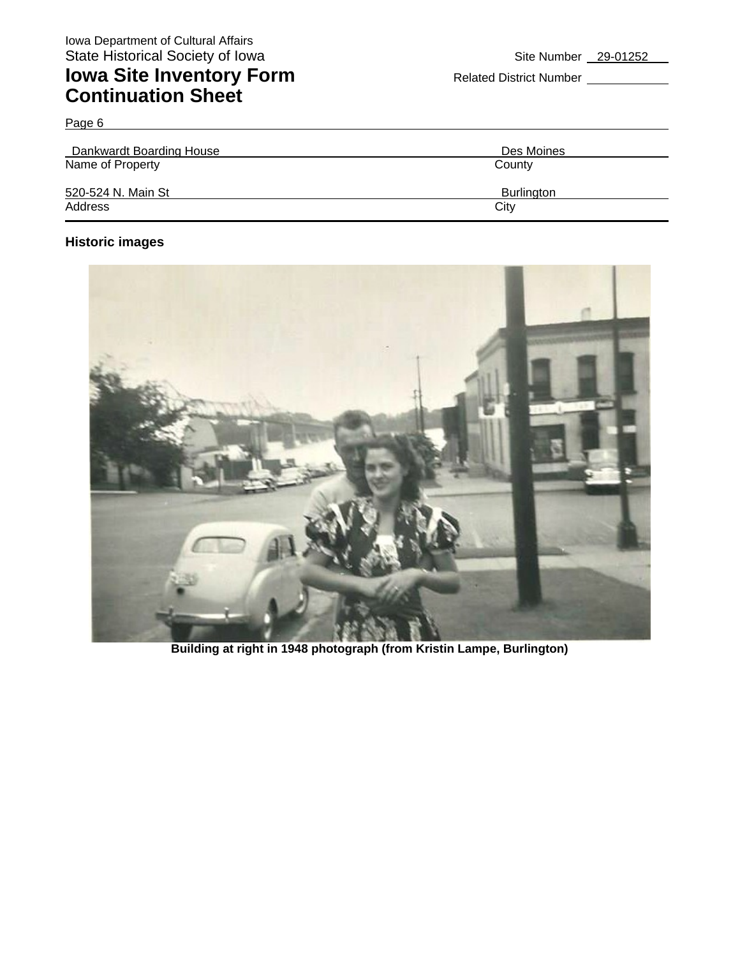Page 6

| Dankwardt Boarding House | Des Moines |
|--------------------------|------------|
| Name of Property         | County     |
| 520-524 N. Main St       | Burlington |
| Address                  | City       |

### **Historic images**



**Building at right in 1948 photograph (from Kristin Lampe, Burlington)**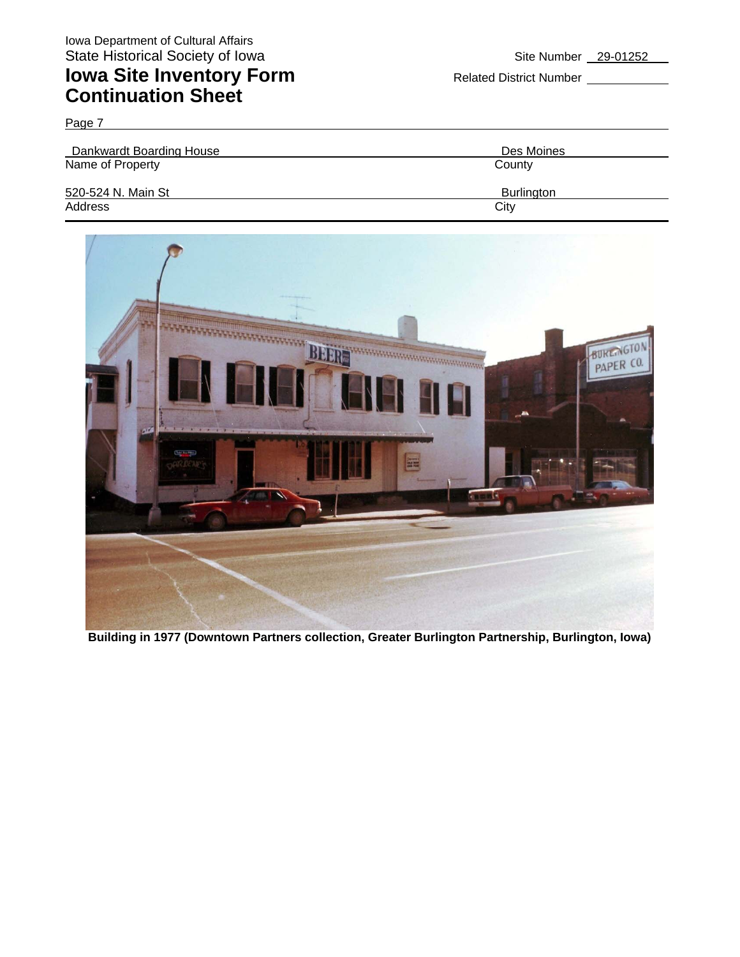### **Iowa Site Inventory Form** Related District Number **Related District Number Continuation Sheet**

Page 7

| Dankwardt Boarding House | Des Moines        |
|--------------------------|-------------------|
| Name of Property         | County            |
| 520-524 N. Main St       | <b>Burlington</b> |
| Address                  | City              |



**Building in 1977 (Downtown Partners collection, Greater Burlington Partnership, Burlington, Iowa)**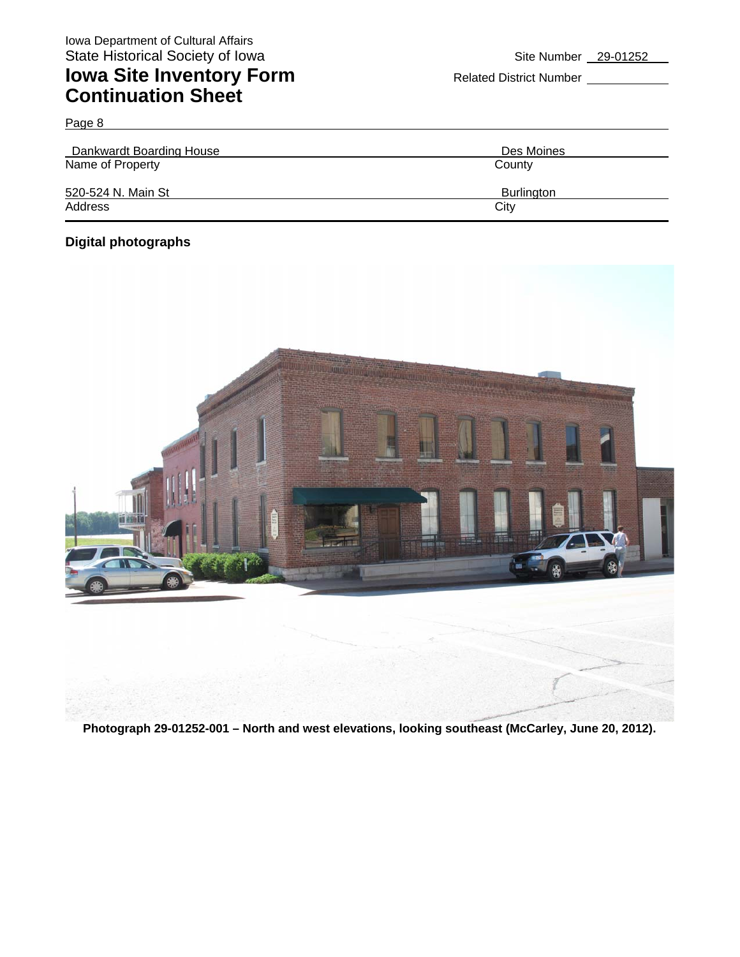Page 8

| Dankwardt Boarding House | Des Moines        |
|--------------------------|-------------------|
| Name of Property         | County            |
| 520-524 N. Main St       | <b>Burlington</b> |
| Address                  | City              |

### **Digital photographs**



**Photograph 29-01252-001 – North and west elevations, looking southeast (McCarley, June 20, 2012).**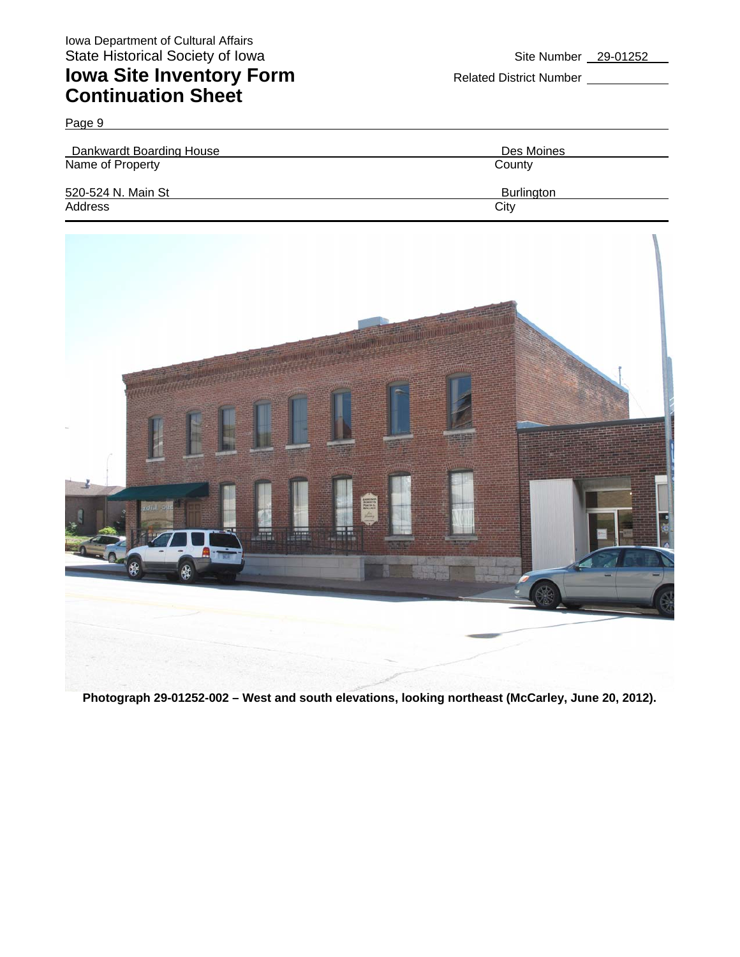Page 9

# **Iowa Site Inventory Form** Related District Number **Continuation Sheet**

Dankwardt Boarding House Des Moines Name of Property **County** County 520-524 N. Main St Burlington Address City **City Address** 



**Photograph 29-01252-002 – West and south elevations, looking northeast (McCarley, June 20, 2012).**